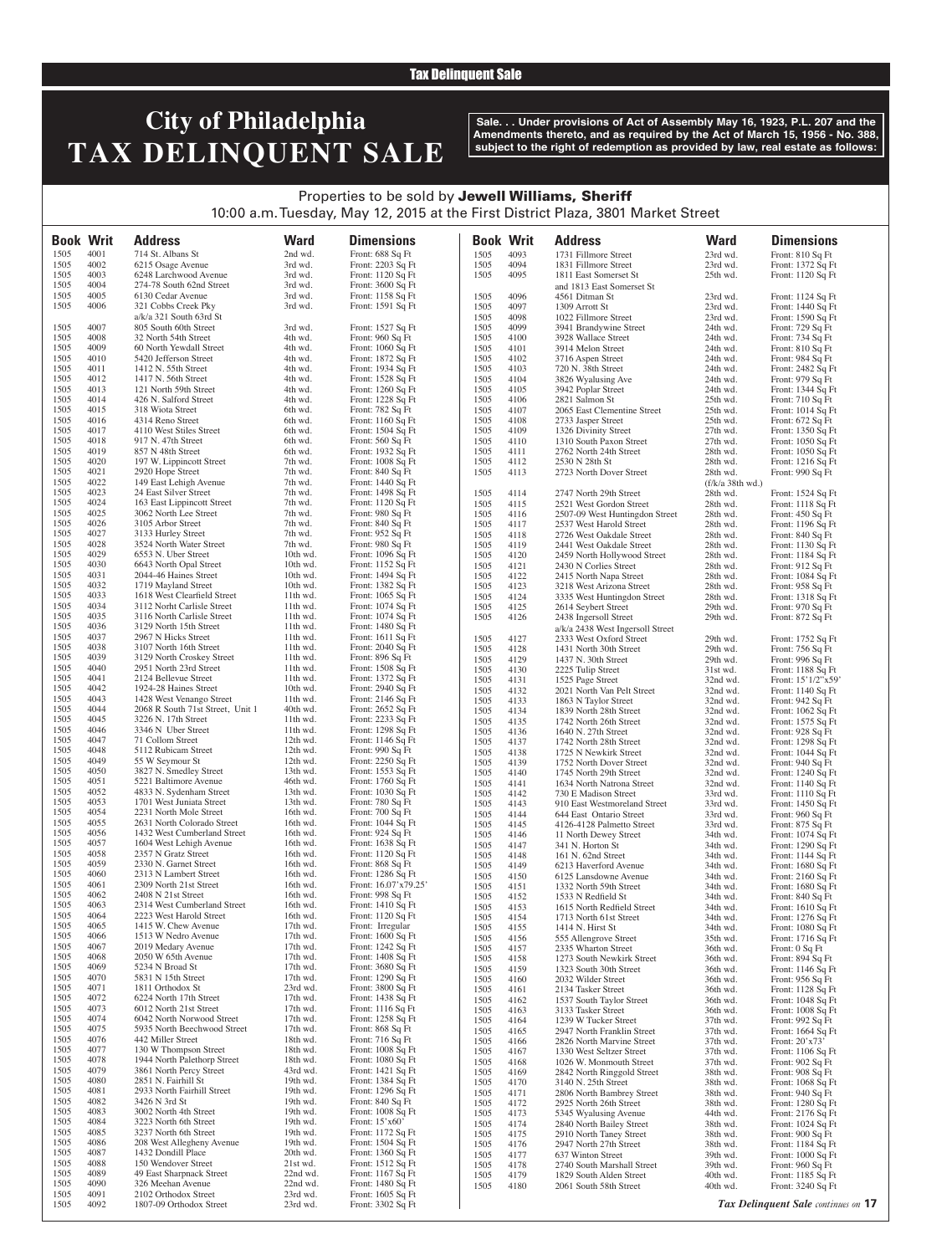#### Tax Delinquent Sale

# **City of Philadelphia TAX DELINQUENT SALE**

**Sale. . . Under provisions of Act of Assembly May 16, 1923, P.L. 207 and the Amendments thereto, and as required by the Act of March 15, 1956 - No. 388, subject to the right of redemption as provided by law, real estate as follows:**

### Properties to be sold by Jewell Williams, Sheriff 10:00 a.m. Tuesday, May 12, 2015 at the First District Plaza, 3801 Market Street

**Book Writ Address Ward Dimensions Book Writ Address Ward Dimensions** 1505 4001 714 St. Albans St 2nd wd. Front: 688 Sq Ft 1505 4002 6215 Osage Avenue 3rd wd. Front: 2203 Sq Ft 1505 4002 6215 Osage Avenue 3rd wd. Front: 2203 Sq Ft 1505 4003 6248 Larchwood Avenue 3rd wd. Front: 1120 Sq Ft 1505 4003 6248 Larchwood Avenue 3rd wd. Front: 1120 Sq Ft 1505 4004 274-78 South 62nd Street 3rd wd. Front: 3600 Sq Ft 1505 4004 274-78 South 62nd Street 3rd wd. Front: 3600 Sq Ft 1505 4005 6130 Cedar Avenue 3rd wd. Front: 1158 Sq Ft 1505 4005 6130 Cedar Avenue 3rd wd. 1505 4006 321 Cobbs Creek Pky 3rd wd. 321 Cobbs Creek Pky a/k/a 321 South 63rd St 3rd wd. Front: 1591 Sq Ft 1505 4007 805 South 60th Street 3rd wd. Front: 1527 Sq Ft 1505 4008 32 North 54th Street 4th wd. Front: 960 Sq Ft<br>1505 4009 60 North Yewdall Street 4th wd. Front: 1060 Sq Ft 1505 4009 60 North Yewdall Street 4th wd. Front: 1060 Sq Ft<br>1505 4010 5420 Jefferson Street 4th wd. Front: 1872 Sq Ft 1505 4010 5420 Jefferson Street 4th wd. Front: 1872 Sq Ft 1505 4011 1412 N. 55th Street 4th wd. Front: 1934 Sq Ft 1505 4011 1412 N. 55th Street 4th wd. Front: 1934 Sq Ft 1505 4012 1417 N. 56th Street 4th wd. Front: 1528 Sq Ft 1505 4012 1417 N. 56th Street 4th wd.<br>1505 4013 121 North 59th Street 4th wd. 1505 4013 121 North 59th Street 4th wd. Front: 1260 Sq Ft 1505 4014 426 N. Salford Street 4th wd. Front: 1228 Sq Ft 426 N. Salford Street 1505 4015 318 Wiota Street 6th wd. Front: 782 Sq Ft 1505 4016 4314 Reno Street 6th wd. Front: 1160 Sq Ft 1505 4017 4110 West Stiles Street 6th wd. Front: 1504 Sq Ft 1505 4018 917 N. 47th Street 6th wd. Front: 560 Sq Ft 1505 4019 857 N 48th Street 6th wd. Front: 1932 Sq Ft 1505  $4019$  857 N 48th Street 6th wd. Front: 1932 Sq Ft<br>1505  $4020$  197 W. Lippincott Street 7th wd. Front: 1008 Sq Ft 1505 4020 197 W. Lippincott Street 7th wd. Front: 1008 Sq Ft 1505 4021 2920 Hope Street 7th wd. Front: 840 Sq Ft 1505 4021 2920 Hope Street 7th wd. Front: 840 Sq Ft<br>1505 4022 149 East Lehigh Avenue 7th wd. Front: 1440 Sq Ft 1505 4022 149 East Lehigh Avenue 7th wd.<br>1505 4023 24 East Silver Street 7th wd. 1505 4023 24 East Silver Street 7th wd. Front: 1498 Sq Ft<br>1505 4024 163 East Lippincott Street 7th wd. Front: 1120 Sq Ft 1505 4024 163 East Lippincott Street 7th wd. Front: 1120 Sq Ft 1505 4025 3062 North Lee Street 7th wd. Front: 980 Sq Ft 1505 4025 3062 North Lee Street 7th wd. Front: 980 Sq Ft<br>1505 4026 3105 Arbor Street 7th wd. Front: 840 Sq Ft 1505 4026 3105 Arbor Street 7th wd. Front: 840 Sq<sup> Ft</sup><br>1505 4027 3133 Hurley Street 7th wd. Front: 952 Sq Ft 1505 4027 3133 Hurley Street 7th wd. Front: 952 Sq<sup>T</sup>t 1505 4028 3524 North Water Street 7th wd. Front: 980 SqTt 1505 4028 3524 North Water Street 7th wd. Front: 980 Sq Ft<br>1505 4029 6553 N. Uber Street 10th wd. Front: 1096 Sq Ft 1505 4029 6553 N. Uber Street 10th wd. Front: 1096 Sq Ft 1505 4030 6643 North Opal Street 10th wd. Front: 1152 Sq Ft 1505 4030 6643 North Opal Street 10th wd. Front: 1152 Sq<sup> Ft</sup> 1505 4031 2044-46 Haines Street 10th wd. Front: 1494 Sq Ft 1505 4031 2044-46 Haines Street 10th wd.<br>1505 4032 1719 Mayland Street 10th wd. 1505 4032 1719 Mayland Street 10th wd. Front: 1382 Sq Ft 1505 4033 1618 West Clearfield Street 11th wd. Front: 1065 Sq Ft 1505 4033 1618 West Clearfield Street 11th wd. Front: 1065 Sq Ft 1505 4034 3112 Norht Carlisle Street 11th wd. Front: 1074 Sq Ft 1505 4034 3112 Norht Carlisle Street 11th wd. Front: 1074 Sq Ft 1505 4035 3116 North Carlisle Street 11th wd. Front: 1074 Sq Ft 1505 4035 3116 North Carlisle Street 11th wd. Front: 1074 Sq Ft 1505 4036 3129 North 15th Street 11th wd. Front: 1480 Sq Ft 1505 4036 3129 North 15th Street 11th wd. Front: 1480 Sq Ft 1505 4037 2967 N Hicks Street 11th wd. Front: 1611 Sq Ft 1505 4037 2967 N Hicks Street 11th wd. Front: 1611 Sq Ft 1505 4038 3107 North 16th Street 11th wd. Front: 2040 Sq Ft 1505 4038 3107 North 16th Street 11th wd. Front: 2040 Sq Ft 1505 4039 3129 North Croskey Street 11th wd. Front: 896 Sq Ft 3129 North Croskey Street 1505 4040 2951 North 23rd Street 11th wd. Front: 1508 Sq Ft 1505 4041 2124 Bellevue Street 11th wd. Front: 1372 Sq Ft 1505 4042 1924-28 Haines Street 10th wd. Front: 2940 Sq Ft 1505 4043 1428 West Venango Street 11th wd. Front: 2146 Sq Ft 1505 4044 2068 R South 71st Street, Unit 1 40th wd. Front: 2652 Sq Ft 1505 4045 3226 N. 17th Street 11th wd. Front: 2233 Sq Ft 1505 4046 3346 N Uber Street 11th wd. Front: 1298 Sq Ft 1505 4046 3346 N Uber Street 11th wd. Front: 1298 Sq Ft 1505 4047 71 Collom Street 12th wd. Front: 1146 Sq Ft 1505 4047 11 Collom Street 12th wd. Front: 1146 Sq F<br>1505 4048 5112 Rubicam Street 12th wd. Front: 990 Sq Ft 1505 4048 5112 Rubicam Street 12th wd.<br>1505 4049 55 W Seymour St 12th wd. 1505 4049 55 W Seymour St 12th wd. Front: 2250 Sq Ft 1505 4050 3827 N. Smedley Street 13th wd. Front: 1553 Sq Ft 1505 4050 3827 N. Smedley Street 13th wd. Front: 1553 Sq<sup> Ft</sup> 1505 4051 5221 Baltimore Avenue 46th wd. Front: 1760 Sq Ft 1505 4051 5221 Baltimore Avenue 46th wd. Front: 1760 Sq Ft 1505 4052 4833 N. Sydenham Street 13th wd. Front: 1030 Sq Ft 1505 4052 4833 N. Sydenham Street 13th wd. Front: 1030 Sq Ft 1505 4053 1701 West Juniata Street 13th wd. Front: 780 Sq Ft 1505 1701 West Juniata Street 13th wd. Front: 780 Sq Ft 1505 16054 1505 1701 West Juniata Street 16th wd. Front: 700 Sq Ft 1505 4054 2231 North Mole Street 16th wd. Front: 700 Sq Ft<br>1505 4055 2631 North Colorado Street 16th wd. Front: 1044 Sq Ft 1505 4055 2631 North Colorado Street 16th wd. Front: 1044 Sq Ft 1505 4056 1432 West Cumberland Street 16th wd. Front: 924 Sq Ft 1505 4056 1432 West Cumberland Street 16th wd. Front: 924 Sq Ft<br>1505 4057 1604 West Lehigh Avenue 16th wd. Front: 1638 Sq Ft 1505 4057 1604 West Lehigh Avenue 16th wd. Front: 1638 Sq Ft 1505 4058 2357 N Gratz Street 16th wd. Front: 1120 Sq Ft 1505 4058 2357 N Gratz Street 16th wd. Front: 1120 Sq Ft 1505 4059 2330 N. Garnet Street 16th wd. Front: 868 Sq Ft 1505 4059 2330 N. Garnet Street 16th wd. Front: 868 Sq Ft 1505 4060 2313 N Lambert Street 16th wd. Front: 1286 Sq Ft 1505 4060 2313 N Lambert Street 16th wd. Front: 1286 Sq Ft 1505 4061 2309 North 21st Street 16th wd. Front: 16.07'x79.25' 1505 4061 2309 North 21st Street 16th wd. Front: 16.07'x79<br>1505 4062 2408 N 21st Street 16th wd. Front: 998 Sq Ft 1505 4062 2408 N 21st Street 16th wd. Front: 998 Sq Ft<br>1505 4063 2314 West Cumberland Street 16th wd. Front: 1410 Sq Ft 1505 4063 2314 West Cumberland Street 16th wd. Front: 1410 Sq Ft 1505 4064 2223 West Harold Street 16th wd. Front: 1120 Sq Ft 2223 West Harold Street 1505 4065 1415 W. Chew Avenue 17th wd. Front: Irregular 1505 4066 1513 W Nedro Avenue 17th wd. Front: 1600 Sq Ft 1505 4066 1513 W Nedro Avenue 17th wd. Front: 1600 Sq Ft 1505 4067 2019 Medary Avenue 17th wd. Front: 1242 Sq Ft 1505 4067 2019 Medary Avenue 17th wd. 1505 4068 2050 W 65th Avenue 17th wd. Front: 1408 Sq Ft<br>1505 4069 5234 N Broad St 17th wd. Front: 3680 Sq Ft 1505 4069 5234 N Broad St 17th wd. Front: 3680 Sq Ft 1505 4070 5831 N 15th Street 17th wd. Front: 1290 Sq Ft 1505 4070 5831 N 15th Street 17th wd. Front: 1290 Sq Ft 1505 4071 1811 Orthodox St 23rd wd. Front: 3800 Sq Ft 1505 4071 1811 Orthodox St 23rd wd. Front: 3800 Sq<sup>Ft</sup> 1505 4072 6224 North 17th Street 17th wd. Front: 1438 SqFt 1505 4072 6224 North 17th Street 17th wd.<br>1505 4073 6012 North 21st Street 17th wd. 1505 4073 6012 North 21st Street 17th wd. Front: 1116 Sq Ft 1505 4074 6042 North Norwood Street 17th wd. Front: 1258 Sq Ft 1505 4074 6042 North Norwood Street 17th wd. Front: 1258 Sq Ft<br>1505 4075 5935 North Beechwood Street 17th wd. Front: 868 Sq Ft 1505 4075 5935 North Beechwood Street 17th wd. Front: 868 Sq Ft<br>1505 4076 442 Miller Street 18th wd. Front: 716 Sq Ft 1505 4076 442 Miller Street 18th wd. Front: 716 Sq Ft<br>1505 4077 130 W Thompson Street 18th wd. Front: 1008 Sq Ft 1505 4077 130 W Thompson Street 18th wd. Front: 1008 Sq Ft 1505 4078 1944 North Palethorp Street 18th wd. Front: 1080 Sq Ft 1505 4078 1944 North Palethorp Street 18th wd. Front: 1080 Sq Ft 1505 4079 3861 North Percy Street 43rd wd.<br>1505 4080 2851 N. Fairhill St 19th wd. 1505 4080 2851 N. Fairhill St 19th wd. Front: 1384 Sq Ft 1505 4081 2933 North Fairhill Street 19th wd. Front: 1296 Sq Ft 1505 4081 2933 North Fairhill Street 19th wd. Front: 1296 Sq Ft 1505 4082 3426 N 3rd St 19th wd. Front: 840 Sq Ft 1505 4082 3426 N 3rd St 19th wd. Front: 840 Sq Ft 1505 4083 3002 North 4th Street 19th wd. Front: 1008 Sq Ft 1505 4083 3002 North 4th Street 19th wd. Front: 1008 Sq<br>1505 4084 3223 North 6th Street 19th wd. Front: 15'x60' 1505 4084 3223 North 6th Street 19th wd. Front: 15'x60'<br>1505 4085 3237 North 6th Street 19th wd. Front: 1172 Sq Ft 1505 4085 3237 North 6th Street 19th wd. Front: 1172 Sq Ft<br>1505 4086 208 West Allegheny Avenue 19th wd. Front: 1504 Sq Ft 1505 4086 208 West Allegheny Avenue 19th wd. Front: 1504 Sq Ft<br>1505 4087 1432 Dondill Place 20th wd. Front: 1360 Sq Ft 1505 4087 1432 Dondill Place 20th wd.<br>1505 4088 150 Wendover Street 21st wd. 1505 4088 150 Wendover Street 21st wd. Front: 1512 Sq Ft 49 East Sharpnack Street<br>326 Meehan Avenue 1505 4090 326 Meehan Avenue 22nd wd. Front: 1480 Sq Ft 1505 4091 2102 Orthodox Street 23rd wd. Front:  $1605 \text{ Sq } \text{Ft}$ 1505 4092 1807-09 Orthodox Street 23rd wd. Front: 3302 Sq Ft 1505 4093 1731 Fillmore Street 23rd wd. Front: 810 Sq Ft 1505 4094 1831 Fillmore Street 23rd wd.<br>1505 4095 1811 East Somerset St 25th wd. 1811 East Somerset St and 1813 East Somerset St Front: 1120 Sq Ft 1505 4096 4561 Ditman St 23rd wd. Front: 1124 Sq Ft 1505 4097 1309 Arrott St 23rd wd. Front: 1440 Sq Ft 1505 4098 1022 Fillmore Street 23rd wd. Front: 1590 Sq Ft 1505 4099 3941 Brandywine Street 24th wd. Front: 729 Sq Ft 1505 4100 3928 Wallace Street 24th wd. Front: 734 Sq Ft 1505 4100 3928 Wallace Street 24th wd. Front: 734 Sq Ft 1505 4101 3914 Melon Street 24th wd. Front: 810 Sq Ft 1505 4101 3914 Melon Street 24th wd. Front: 810 Sq<sup> Ft</sup><br>1505 4102 3716 Aspen Street 24th wd. Front: 984 Sq Ft 1505 4102 3716 Aspen Street 24th wd. Front: 984 Sq Ft 1505 4103 720 N. 38th Street 24th wd. Front: 2482 Sq Ft 1505 4104 3826 Wyalusing Ave 24th wd. Front: 979 Sq Ft 1505 4104 3826 Wyalusing Ave 24th wd. Front: 979 Sq Ft 1505 4105 3942 Poplar Street 24th wd.<br>1505 4106 2821 Salmon St 25th wd. 1505 4106 2821 Salmon St 25th wd. Front: 710 Sq Ft<br>1505 4107 2065 East Clementine Street 25th wd. Front: 1014 Sq Ft 1505 4107 2065 East Clementine Street 25th wd. Front: 1014 Sq Ft 2733 Jasper Street 1505 4109 1326 Divinity Street 27th wd. Front: 1350 Sq Ft 1505 4110 1310 South Paxon Street 27th wd. Front: 1050 Sq Ft 1505 4111 2762 North 24th Street 28th wd. Front: 1050 Sq Ft 1505 4112 2530 N 28th St 28th wd. Front: 1216 Sq Ft 1505 4113 2723 North Dover Street 28th wd. (f/k/a 38th wd.) Front: 990 Sq Ft 1505 4114 2747 North 29th Street 28th wd. Front: 1524 Sq Ft 1505 4115 2521 West Gordon Street 28th wd. Front: 1118 Sq Ft 1505 4116 2507-09 West Huntingdon Street 28th wd.<br>1505 4117 2537 West Harold Street 28th wd. 1505 4117 2537 West Harold Street 28th wd. Front: 1196 Sq Ft<br>1505 4118 2726 West Oakdale Street 28th wd. Front: 840 Sq Ft 1505 4118 2726 West Oakdale Street 28th wd. Front: 840 Sq Ft 2441 West Oakdale Street 1505 4120 2459 North Hollywood Street 28th wd. Front: 1184 Sq<sup> Ft</sup> 1505 4121 2430 N Corlies Street 28th wd. Front: 912 Sq Ft 1505 4121 2430 N Corlies Street 28th wd. Front: 912 Sq Ft<br>
2415 North Napa Street 28th wd. Front: 1084 Sq Ft 1505 4122 2415 North Napa Street 28th wd. Front: 1084 Sq Ft 1505 4123 3218 West Arizona Street 28th wd. Front: 958 Sq Ft<br>1505 4124 3335 West Huntingdon Street 28th wd. Front: 1318 Sq Ft 1505 4124 3335 West Huntingdon Street 28th wd. Front: 1318 Sq Ft 1505 4125 2614 Seybert Street 29th wd. Front: 970 Sq Ft 1505 4125 2614 Seybert Street 29th wd.<br>1505 4126 2438 Ingersoll Street 29th wd. 2438 Ingersoll Street a/k/a 2438 West Ingersoll Street Front:  $872$  Sq Ft 1505 4127 2333 West Oxford Street 29th wd. Front: 1752 Sq Ft 1505 4128 1431 North 30th Street 29th wd. Front: 756 Sq Ft 1505 4129 1437 N. 30th Street 29th wd. Front: 996 Sq Ft 1505 4129 1437 N. 30th Street 29th wd.<br>1505 4130 2225 Tulip Street 31st wd. 1505 4130 2225 Tulip Street 31st wd. Front: 1188 Sq Ft 1505 4131 1525 Page Street 32nd wd. Front: 15'1/2"x59 1505 4131 1525 Page Street 32nd wd. Front: 15'1/2"x59<br>1505 4132 2021 North Van Pelt Street 32nd wd. Front: 1140 Sq Ft 1505 4132 2021 North Van Pelt Street 32nd wd. Front: 1140 Sq Ft 1505 4133 1863 N Taylor Street 32nd wd. Front: 942 Sq Ft 1505 4134 1839 North 28th Street 32nd wd. Front: 1062 Sq Ft 1505 4135 1742 North 26th Street 32nd wd. Front: 1575 Sq Ft 1505 1742 North 26th Street 32nd wd. Front: 1575 Sq Ft 1505 1640 N. 27th Street 32nd wd. Front: 928 Sq Ft 1505 4136 1640 N. 27th Street 32nd wd. Front: 928 Sq Ft 1505 4137 1742 North 28th Street 32nd wd. Front: 1298 Sq Ft 1505 4138 1725 N Newkirk Street 32nd wd. Front: 1044 Sq Ft 1505 4138 1725 N Newkirk Street 32nd wd. Front: 1044 Sq Ft 1505 4139 1752 North Dover Street 32nd wd. Front: 940 Sq Ft 1505 4140 1745 North 29th Street 32nd wd. Front: 1240 Sq Ft 1505 4141 1634 North Natrona Street 32nd wd. Front: 1140 Sq Ft 1505 4141 1634 North Natrona Street 32nd wd. Front: 1140 Sq Ft<br>1505 4142 730 E Madison Street 33rd wd. Front: 1110 Sq Ft 1505 4142 730 E Madison Street 33rd wd. Front: 1110 Sq Ft 1505 4143 910 East Westmoreland Street 33rd wd. Front: 1450 Sq Ft 910 East Westmoreland Street 1505 4144 644 East Ontario Street 33rd wd. Front: 960 Sq Ft 1505 4145 4126-4128 Palmetto Street 33rd wd. Front: 875 Sq Ft 1505 4146 11 North Dewey Street 34th wd. Front: 1074 Sq Ft 1505 4147 341 N. Horton St 34th wd. Front: 1290 Sq Ft 3505 4148 161 N. 62nd Street 34th wd. Front: 1144 Sq Ft 1505 4148 161 N. 62nd Street 34th wd. Front: 1144 Sq Ft 1505 4149 6213 Haverford Avenue 34th wd. Front: 1680 Sq Ft 1505 6213 Haverford Avenue 34th wd. Front: 1680 Sq Ft Font: 1680 Sq Ft G125 Lansdowne Avenue 34th wd. 1505 4150 6125 Lansdowne Avenue 34th wd. Front: 2160 Sq Ft  $1151$  1332 North 59th Street 34th wd. Front: 1680 Sq Ft  $3452$  1533 N Redfield St 34th wd. Front: 840 Sq Ft 1505 4152 1533 N Redfield St 34th wd. Front: 840 Sq Ft 1505 4153 1615 North Redfield Street 34th wd. Front: 1610 Sq Ft 1505 4153 1615 North Redfield Street 34th wd. Front: 1610 Sq Ft 1505 4154 1713 North 61st Street 34th wd. Front: 1276 Sq Ft 1505 4154 1713 North 61st Street 34th wd.<br>1505 4155 1414 N. Hirst St 34th wd. 1505 155 1414 N. Hirst St 34th wd. Front: 1080 Sq Ft 1505 4156 555 Allengrove Street 35th wd. Front: 1716 Sq Ft 1505 4156 555 Allengrove Street 35th wd. Front: 1716 Sq<br>1505 4157 2335 Wharton Street 36th wd. Front: 0 Sq Ft 1505 4157 2335 Wharton Street 36th wd. Front: 0 Sq Ft 1505 4158 1273 South Newkirk Street 36th wd. Front: 894 Sq Ft 1505 4158 1273 South Newkirk Street 36th wd. Front: 894 Sq Ft 1505 4159 1323 South 30th Street 36th wd. Front: 1146 Sq Ft 1505 4160 2032 Wilder Street 36th wd. Front: 956 Sq Ft 1505 4160 2032 Wilder Street 36th wd. Front: 956 Sq Ft 1505 4161 2134 Tasker Street 36th wd. Front: 1128 Sq Ft 1505 4162 1537 South Taylor Street 36th wd. Front: 1048 Sq Ft 1505 4162 1537 South Taylor Street 36th wd. Front: 1048 Sq Ft 1505 4163 3133 Tasker Street 36th wd. Front: 1008 Sq Ft 1505 4164 1239 W Tucker Street 37th wd. Front: 992 Sq Ft 1505 4164 1239 W Tucker Street 37th wd. Front: 992 Sq Ft 165 2947 North Franklin Street 37th wd. Front: 1664 S<br>4166 2826 North Marvine Street 37th wd. Front: 20'x73 1505 4166 2826 North Marvine Street 37th wd. Front: 20'x73'<br>1505 4167 1330 West Seltzer Street 37th wd. Front: 1106 Sq Ft 1505 4167 1330 West Seltzer Street 37th wd. Front: 1106 Sq Ft 1505 4168 1026 W. Monmouth Street 37th wd. Front: 902 Sq Ft 1026 W. Monmouth Street 1505 4169 2842 North Ringgold Street 38th wd. Front: 908 Sq Ft 1505 4170 3140 N. 25th Street 38th wd. Front: 1068 Sq Ft 1505 4171 2806 North Bambrey Street 38th wd. Front: 940 Sq Ft 1505 4172 2925 North 26th Street 38th wd. Front: 1280 Sq Ft<br>1505 4173 5345 Wyalusing Avenue 44th wd. Front: 2176 Sq Ft 1505 4173 5345 Wyalusing Avenue 44th wd. Front: 2176 Sq Ft 1505 4174 2840 North Bailey Street 38th wd. Front: 1024 Sq Ft 1505 4175 2910 North Taney Street 38th wd. Front: 900 Sq Ft 1505 4175 2910 North Taney Street 38th wd.<br>1505 4176 2947 North 27th Street 38th wd. 1505 4176 2947 North 27th Street 38th wd. Front: 1184 Sq Ft 1505 4177 637 Winton Street 39th wd. Front: 1000 Sq Ft 1505 4177 637 Winton Street 39th wd. Front: 1000 Sq Ft 1505 4178 2740 South Marshall Street 39th wd. Front: 960 Sq Ft 1505 4179 1829 South Alden Street 40th wd. Front: 1185 Sq Ft 1505 4180 2061 South 58th Street 40th wd. Front: 3240 Sq Ft 2061 South 58th Street

*Tax Delinquent Sale continues on* **17**